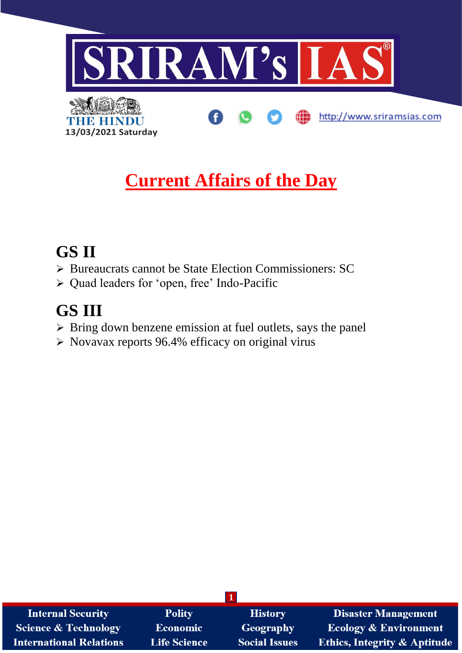

# **Current Affairs of the Day**

# **GS II**

- ➢ Bureaucrats cannot be State Election Commissioners: SC
- ➢ Quad leaders for 'open, free' Indo-Pacific

# **GS III**

- ➢ Bring down benzene emission at fuel outlets, says the panel
- ➢ Novavax reports 96.4% efficacy on original virus

| <b>Internal Security</b>        | <b>Polity</b>       | <b>History</b>       | <b>Disaster Management</b>              |
|---------------------------------|---------------------|----------------------|-----------------------------------------|
| <b>Science &amp; Technology</b> | <b>Economic</b>     | Geography            | <b>Ecology &amp; Environment</b>        |
| <b>International Relations</b>  | <b>Life Science</b> | <b>Social Issues</b> | <b>Ethics, Integrity &amp; Aptitude</b> |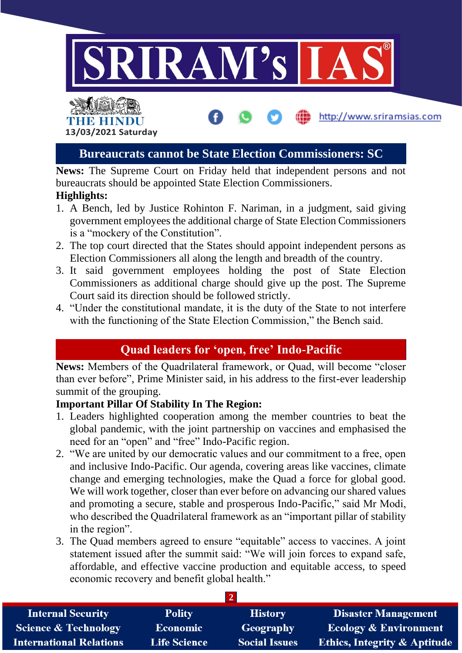

http://www.sriramsias.com

# THE HINDL **13/03/2021 Saturday**

## **Bureaucrats cannot be State Election Commissioners: SC**

**News:** The Supreme Court on Friday held that independent persons and not bureaucrats should be appointed State Election Commissioners.

## **Highlights:**

- 1. A Bench, led by Justice Rohinton F. Nariman, in a judgment, said giving government employees the additional charge of State Election Commissioners is a "mockery of the Constitution".
- 2. The top court directed that the States should appoint independent persons as Election Commissioners all along the length and breadth of the country.
- 3. It said government employees holding the post of State Election Commissioners as additional charge should give up the post. The Supreme Court said its direction should be followed strictly.
- 4. "Under the constitutional mandate, it is the duty of the State to not interfere with the functioning of the State Election Commission," the Bench said.

# **Quad leaders for 'open, free' Indo-Pacific**

**News:** Members of the Quadrilateral framework, or Quad, will become "closer than ever before", Prime Minister said, in his address to the first-ever leadership summit of the grouping.

### **Important Pillar Of Stability In The Region:**

- 1. Leaders highlighted cooperation among the member countries to beat the global pandemic, with the joint partnership on vaccines and emphasised the need for an "open" and "free" Indo-Pacific region.
- 2. "We are united by our democratic values and our commitment to a free, open and inclusive Indo-Pacific. Our agenda, covering areas like vaccines, climate change and emerging technologies, make the Quad a force for global good. We will work together, closer than ever before on advancing our shared values and promoting a secure, stable and prosperous Indo-Pacific," said Mr Modi, who described the Quadrilateral framework as an "important pillar of stability in the region".
- 3. The Quad members agreed to ensure "equitable" access to vaccines. A joint statement issued after the summit said: "We will join forces to expand safe, affordable, and effective vaccine production and equitable access, to speed economic recovery and benefit global health."

| <b>Internal Security</b>        | <b>Polity</b>       | <b>History</b>       | <b>Disaster Management</b>              |  |  |  |
|---------------------------------|---------------------|----------------------|-----------------------------------------|--|--|--|
| <b>Science &amp; Technology</b> | Economic            | Geography            | <b>Ecology &amp; Environment</b>        |  |  |  |
| <b>International Relations</b>  | <b>Life Science</b> | <b>Social Issues</b> | <b>Ethics, Integrity &amp; Aptitude</b> |  |  |  |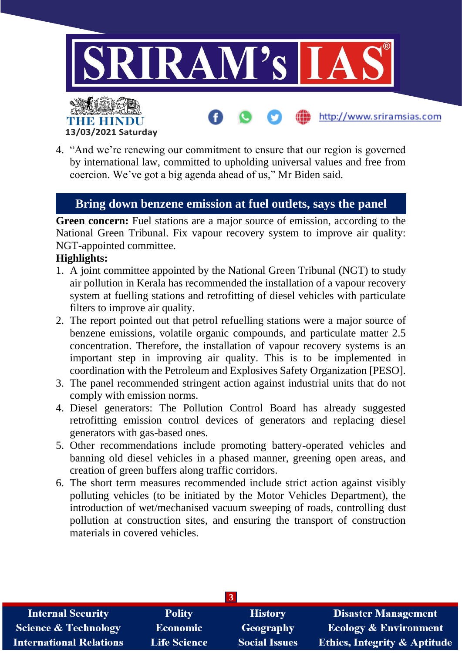

4. "And we're renewing our commitment to ensure that our region is governed by international law, committed to upholding universal values and free from coercion. We've got a big agenda ahead of us," Mr Biden said.

# **Bring down benzene emission at fuel outlets, says the panel**

Green concern: Fuel stations are a major source of emission, according to the National Green Tribunal. Fix vapour recovery system to improve air quality: NGT-appointed committee.

### **Highlights:**

- 1. A joint committee appointed by the National Green Tribunal (NGT) to study air pollution in Kerala has recommended the installation of a vapour recovery system at fuelling stations and retrofitting of diesel vehicles with particulate filters to improve air quality.
- 2. The report pointed out that petrol refuelling stations were a major source of benzene emissions, volatile organic compounds, and particulate matter 2.5 concentration. Therefore, the installation of vapour recovery systems is an important step in improving air quality. This is to be implemented in coordination with the Petroleum and Explosives Safety Organization [PESO].
- 3. The panel recommended stringent action against industrial units that do not comply with emission norms.
- 4. Diesel generators: The Pollution Control Board has already suggested retrofitting emission control devices of generators and replacing diesel generators with gas-based ones.
- 5. Other recommendations include promoting battery-operated vehicles and banning old diesel vehicles in a phased manner, greening open areas, and creation of green buffers along traffic corridors.
- 6. The short term measures recommended include strict action against visibly polluting vehicles (to be initiated by the Motor Vehicles Department), the introduction of wet/mechanised vacuum sweeping of roads, controlling dust pollution at construction sites, and ensuring the transport of construction materials in covered vehicles.

| $\overline{3}$                  |                     |                      |                                         |  |  |  |
|---------------------------------|---------------------|----------------------|-----------------------------------------|--|--|--|
| <b>Internal Security</b>        | <b>Polity</b>       | <b>History</b>       | Disaster Management                     |  |  |  |
| <b>Science &amp; Technology</b> | <b>Economic</b>     | Geography            | <b>Ecology &amp; Environment</b>        |  |  |  |
| <b>International Relations</b>  | <b>Life Science</b> | <b>Social Issues</b> | <b>Ethics, Integrity &amp; Aptitude</b> |  |  |  |